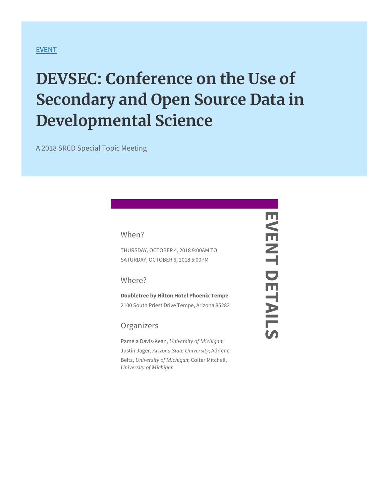#### [EVE](https://www.srcd.org/events)NT

# DEVSEC: Conference on the Use Secondary and Open Source Dat Developmental Science

A 2018 SRCD Special Topic Meeting

When?

THURSDAY, OCTOBER 740 2018 9:00 AM SATURDAY, OCTOBER 6, 2018 5:00 M

Where?

Doubletree by Hilton Hotel Phoenix Tenpe 2100 South Priest Drive Tempe, Arizona 85282 EVENT DETAILS

Ш

Ш

ᅴ

 $\frac{1}{2}$ 

 $\overline{O}$ 

#### Organizers

Pamela Dav University of, Michigan Justin JA rigoma, State University Adriene Beltzni, Versity of Michigan; Colter Mitchell, University of Michigan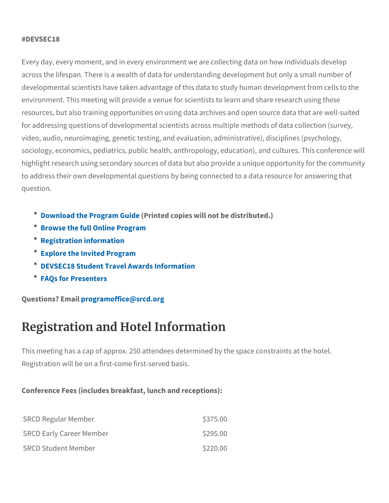#### #DEVSEC18

Every day, every moment, and in every environment we are collecti across the lifespan. There is a wealth of data for understanding de developmental scientists have taken advantage of this data to stud environment. This meeting will provide a venue for scientists to lea resources, but also training opportunities on using data archives and resultfor addressing questions of developmental scientists across multipl video, audio, neuroimaging, genetic testing, and evaluation, admini sociology, economics, pediatrics, public health, anthropology, educ highlight research using secondary sources of data but also provide to address their own developmental questions by being connected t question.

- $\bullet$  [Download the Prog](https://www.srcd.org/sites/default/files/file-attachments/DEVSEC Program Guide.pdf)( $R$ min $G$ edde opies will not be distributed.)
- [Browse the full Onl](https://convention2.allacademic.com/one/srcd/devsec18/)ine Program
- Registration information
- Explore the Invited Program
- DEVSEC18 Student Travel Awards Information
- FAQs for Presenters

Questions? pE maparial moffice @srcd.org

## Registration and Hotel Information

This meeting has a cap of approx. 250 attendees determined by the Registration will be on a first-come first-served basis.

Conference Fees (includes breakfast, lunch and receptions):

| SRCD Regular Member      | \$375.00 |
|--------------------------|----------|
| SRCD Early Career Member | \$295.00 |
| SRCD Student Member      | \$220.00 |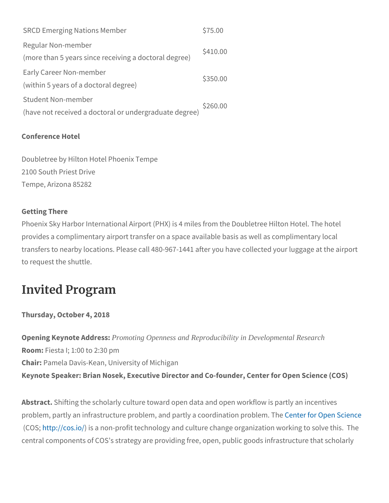SRCD Emerging Nations Member \$75.00 Regular Non-member (more than 5 years since receiving a doctoral degree) \$410.00 Early Career Non-member (within 5 years of a doctoral degree) \$350.00 Student Non-member (have not received a doctoral or undergraduate degree) \$260.00

Conference Hotel

Doubletree by Hilton Hotel Phoenix Tempe 2100 South Priest Drive Tempe, Arizona 85282

Getting There Phoenix Sky Harbor International Airport (PHX) is 4 miles from the provides a complimentary airport transfer on a space available basis transfers to nearby locations. Please call 480-967-1441 after you h to request the shuttle.

### Invited Program

Thursday, October 4, 2018

Opening Keynote Pr**Andoming Openness** and Reproducibility in Developmental Research Room:  $F$ iesta  $1$ ; 1:00 to 2:30 pm ChaiPamela Davis-Kean, University of Michigan Keynote Speaker: Brian Nosek, Executive Director and Co-founder,

Abstrasthifting the scholarly culture toward open data and open wor problem, partly an infrastructure problem, and p**£rethytea coor@bnea**nti**Soo**  $(C<sub>0</sub>Stp://cgsiisod non-profit technology and culture change organiz$ central components of COS s strategy are providing free, open, pub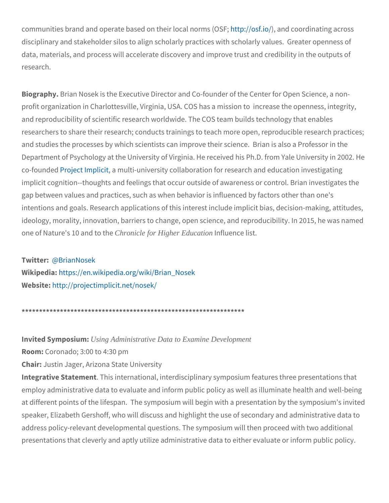communities brand and operate based  $b$  http:h/edicrosformating  $\theta$  and communities brand and contracte based  $b$  [http://o](http://osf.io/)rg.io/  $\theta$ disciplinary and stakeholder silos to align scholarly practices with data, materials, and process will accelerate discovery and improve research.

Biograp Byian Nosek is the Executive Director and Co-founder of the profit organization in Charlottesville, Virginia, USA. COS has a mis and reproducibility of scientific research worldwide. The COS team researchers to share their research; conducts trainings to teach mo and studies the processes by which scientists can improve their sci Department of Psychology at the University of Virginia. He received co-foun Pendie ct Impalima iutiti-university collaboration for research and e implicit cognition--thoughts and feelings that occur outside of awar gap between values and practices, such as when behavior is influer intentions and goals. Research applications of this interest include ideology, morality, innovation, barriers to change, open science, and in 2015, he was named upon the was named one of Nature's 1CChronicle foo Highter Education Influence list.

#### Twitte@: Brian Nosek

Wikipedhitaps://en.wikipedia.org/wiki/Brian Nosek  $Webs$ ihetp://projectimplicit.net/nosek/

\*\*\*\*\*\*\*\*\*\*\*\*\*\*\*\*\*\*\*\*\*\*\*\*\*\*\*\*\*\*\*\*\*\*\*\*\*\*\*\*\*\*\*\*\*\*\*\*\*\*\*\*\*\*\*\*\*\*\*\*\*\*\*\*

In vited Symplesing Administrative Data to Examine Development  $R$ oom $C$ oronado;  $3:00$  to  $4:30$  pm Chaidustin Jager, Arizona State University Integrative Statemient international, interdisciplinary symposium feat employ administrative data to evaluate and inform public policy as at different points of the lifespan. The symposium will begin with a speaker, Elizabeth Gershoff, who will discuss and highlight the use address policy-relevant developmental questions. The symposium w presentations that cleverly and aptly utilize administrative data to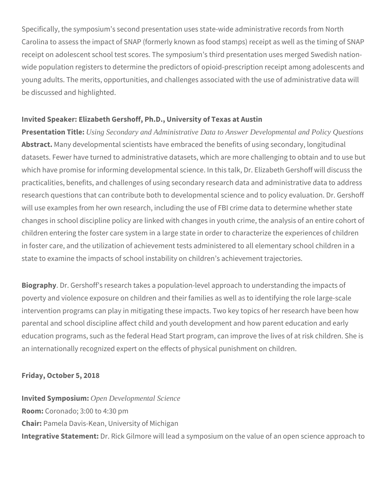Specifically, the symposium's second presentation uses state-wide administrative records from North Carolina to assess the impact of SNAP (formerly known as food stamps) receipt as well as the timing of SNAP receipt on adolescent school test scores. The symposium's third presentation uses merged Swedish nationwide population registers to determine the predictors of opioid-prescription receipt among adolescents and young adults. The merits, opportunities, and challenges associated with the use of administrative data will be discussed and highlighted.

#### **Invited Speaker: Elizabeth Gershoff, Ph.D., University of Texas at Austin**

**Presentation Title:** *Using Secondary and Administrative Data to Answer Developmental and Policy Questions* **Abstract.** Many developmental scientists have embraced the benefits of using secondary, longitudinal datasets. Fewer have turned to administrative datasets, which are more challenging to obtain and to use but which have promise for informing developmental science. In this talk, Dr. Elizabeth Gershoff will discuss the practicalities, benefits, and challenges of using secondary research data and administrative data to address research questions that can contribute both to developmental science and to policy evaluation. Dr. Gershoff will use examples from her own research, including the use of FBI crime data to determine whether state changes in school discipline policy are linked with changes in youth crime, the analysis of an entire cohort of children entering the foster care system in a large state in order to characterize the experiences of children in foster care, and the utilization of achievement tests administered to all elementary school children in a state to examine the impacts of school instability on children's achievement trajectories.

**Biography**. Dr. Gershoff's research takes a population-level approach to understanding the impacts of poverty and violence exposure on children and their families as well as to identifying the role large-scale intervention programs can play in mitigating these impacts. Two key topics of her research have been how parental and school discipline affect child and youth development and how parent education and early education programs, such as the federal Head Start program, can improve the lives of at risk children. She is an internationally recognized expert on the effects of physical punishment on children.

#### **Friday, October 5, 2018**

**Invited Symposium:** *Open Developmental Science* **Room:** Coronado; 3:00 to 4:30 pm **Chair:** Pamela Davis-Kean, University of Michigan **Integrative Statement:** Dr. Rick Gilmore will lead a symposium on the value of an open science approach to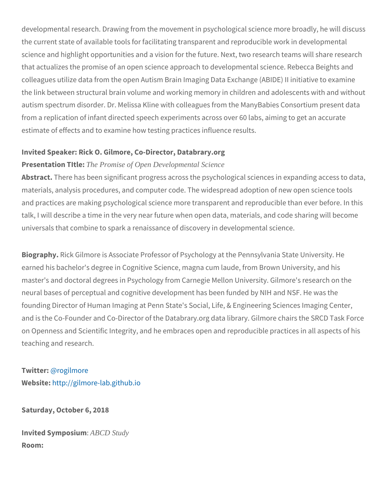developmental research. Drawing from the movement in psychologic the current state of available tools for facilitating transparent and science and highlight opportunities and a vision for the future. Next that actualizes the promise of an open science approach to develop colleagues utilize data from the open Autism Brain Imaging Data Ex the link between structural brain volume and working memory in chi autism spectrum disorder. Dr. Melissa Kline with colleagues from th from a replication of infant directed speech experiments across ove estimate of effects and to examine how testing practices influence

Invited Speaker: Rick O. Gilmore, Co-Director, Databrary.org Presentation The Promise of Open Developmental Science

Abstra $\bar{\sigma}$ there has been significant progress across the psychologica materials, analysis procedures, and computer code. The widespread and practices are making psychological science more transparent a talk, I will describe a time in the very near future when open data, universals that combine to spark a renaissance of discovery in deve

BiograpRyck Gilmore is Associate Professor of Psychology at the Pe earned his bachelor's degree in Cognitive Science, magna cum laud master's and doctoral degrees in Psychology from Carnegie Mellon neural bases of perceptual and cognitive development has been fun founding Director of Human Imaging at Penn State's Social, Life, & and is the Co-Founder and Co-Director of the Databrary. org data Iil on Openness and Scientific Integrity, and he embraces open and re teaching and research.

Twitte@rogilmore Websihtetp://gilmore-lab.github.io

Saturday, October 6, 2018

Invited SympABSCDuSttudy Room: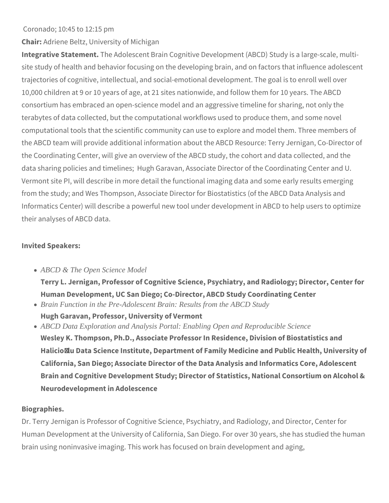#### Coronado; 10:45 to 12:15 pm

**Chair:** Adriene Beltz, University of Michigan

**Integrative Statement.** The Adolescent Brain Cognitive Development (ABCD) Study is a large-scale, multisite study of health and behavior focusing on the developing brain, and on factors that influence adolescent trajectories of cognitive, intellectual, and social-emotional development. The goal is to enroll well over 10,000 children at 9 or 10 years of age, at 21 sites nationwide, and follow them for 10 years. The ABCD consortium has embraced an open-science model and an aggressive timeline for sharing, not only the terabytes of data collected, but the computational workflows used to produce them, and some novel computational tools that the scientific community can use to explore and model them. Three members of the ABCD team will provide additional information about the ABCD Resource: Terry Jernigan, Co-Director of the Coordinating Center, will give an overview of the ABCD study, the cohort and data collected, and the data sharing policies and timelines; Hugh Garavan, Associate Director of the Coordinating Center and U. Vermont site PI, will describe in more detail the functional imaging data and some early results emerging from the study; and Wes Thompson, Associate Director for Biostatistics (of the ABCD Data Analysis and Informatics Center) will describe a powerful new tool under development in ABCD to help users to optimize their analyses of ABCD data.

#### **Invited Speakers:**

*ABCD & The Open Science Model*

**Terry L. Jernigan, Professor of Cognitive Science, Psychiatry, and Radiology; Director, Center for Human Development, UC San Diego; Co-Director, ABCD Study Coordinating Center**

- *Brain Function in the Pre-Adolescent Brain: Results from the ABCD Study* **Hugh Garavan, Professor, University of Vermont**
- *ABCD Data Exploration and Analysis Portal: Enabling Open and Reproducible Science* **Wesley K. Thompson, Ph.D., Associate Professor In Residence, Division of Biostatistics and Halicioğlu Data Science Institute, Department of Family Medicine and Public Health, University of California, San Diego; Associate Director of the Data Analysis and Informatics Core, Adolescent Brain and Cognitive Development Study; Director of Statistics, National Consortium on Alcohol & Neurodevelopment in Adolescence**

#### **Biographies.**

Dr. Terry Jernigan is Professor of Cognitive Science, Psychiatry, and Radiology, and Director, Center for Human Development at the University of California, San Diego. For over 30 years, she has studied the human brain using noninvasive imaging. This work has focused on brain development and aging,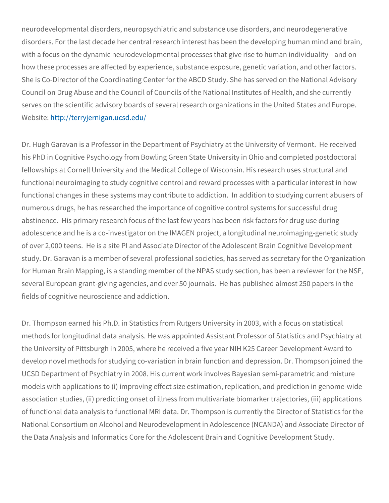neurodevelopmental disorders, neuropsychiatric and substance use disorders. For the last decade her central research interest has be with a focus on the dynamic neurodevelopmental processes that giv how these processes are affected by experience, substance exposure She is Co-Director of the Coordinating Center for the ABCD Study. Council on Drug Abuse and the Council of Councils of the National serves on the scientific advisory boards of several research organi Websittet:  $1/$ terryjernigan.ucsd.edu/

Dr. Hugh Garavan is a Professor in the Department of Psychiatry at his PhD in Cognitive Psychology from Bowling Green State University fellowships at Cornell University and the Medical College of Wiscor functional neuroimaging to study cognitive control and reward proce functional changes in these systems may contribute to addiction. I numerous drugs, he has researched the importance of cognitive con abstinence. His primary research focus of the last few years has b adolescence and he is a co-investigator on the IMAGEN project, a I of over 2,000 teens. He is a site PI and Associate Director of the study. Dr. Garavan is a member of several professional societies, h for Human Brain Mapping, is a standing member of the NPAS study several European grant-giving agencies, and over 50 journals. He fields of cognitive neuroscience and addiction.

Dr. Thompson earned his Ph.D. in Statistics from Rutgers Universit methods for longitudinal data analysis. He was appointed Assistant the University of Pittsburgh in 2005, where he received a five year develop novel methods for studying co-variation in brain function a UCSD Department of Psychiatry in 2008. His current work involves models with applications to (i) improving effect size estimation, rep association studies, (ii) predicting onset of illness from multivariat of functional data analysis to functional MRI data. Dr. Thompson is National Consortium on Alcohol and Neurodevelopment in Adolescer the Data Analysis and Informatics Core for the Adolescent Brain an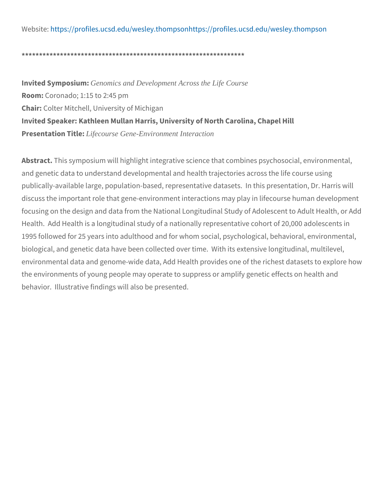Websittet: ps://profiles.ucsd.edu/**wets**plse: y/phr**of** mipesso.nucsd.edu/wesley.thom

\*\*\*\*\*\*\*\*\*\*\*\*\*\*\*\*\*\*\*\*\*\*\*\*\*\*\*\*\*\*\*\*\*\*\*\*\*\*\*\*\*\*\*\*\*\*\*\*\*\*\*\*\*\*\*\*\*\*\*\*\*\*\*\*

In vited SympGessionics: and Development Across the Life Course  $RoomC$  oronado;  $1:15$  to  $2:45$  pm ChaiColter Mitchell, University of Michigan Invited Speaker: Kathleen Mullan Harris, University of North Caroli Presentation Life Course: Gene-Environment Interaction

Abstrathis symposium will highlight integrative science that combin and genetic data to understand developmental and health trajectori publically-available large, population-based, representative datase discuss the important role that gene-environment interactions may focusing on the design and data from the National Longitudinal Stu Health. Add Health is a longitudinal study of a nationally representative contative contative conta 1995 followed for 25 years into adulthood and for whom social, psy biological, and genetic data have been collected over time. With it environmental data and genome-wide data, Add Health provides one the environments of young people may operate to suppress or ampli behavior. Illustrative findings will also be presented.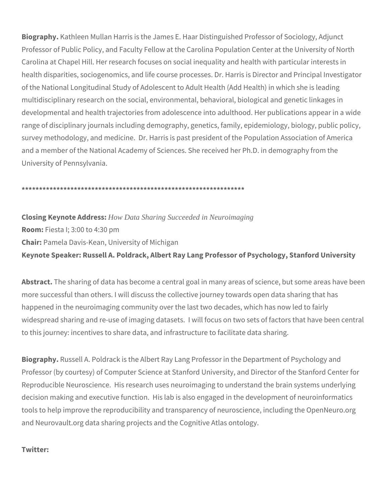**Biography.** Kathleen Mullan Harris is the James E. Haar Distinguished Professor of Sociology, Adjunct Professor of Public Policy, and Faculty Fellow at the Carolina Population Center at the University of North Carolina at Chapel Hill. Her research focuses on social inequality and health with particular interests in health disparities, sociogenomics, and life course processes. Dr. Harris is Director and Principal Investigator of the National Longitudinal Study of Adolescent to Adult Health (Add Health) in which she is leading multidisciplinary research on the social, environmental, behavioral, biological and genetic linkages in developmental and health trajectories from adolescence into adulthood. Her publications appear in a wide range of disciplinary journals including demography, genetics, family, epidemiology, biology, public policy, survey methodology, and medicine. Dr. Harris is past president of the Population Association of America and a member of the National Academy of Sciences. She received her Ph.D. in demography from the University of Pennsylvania.

#### **\*\*\*\*\*\*\*\*\*\*\*\*\*\*\*\*\*\*\*\*\*\*\*\*\*\*\*\*\*\*\*\*\*\*\*\*\*\*\*\*\*\*\*\*\*\*\*\*\*\*\*\*\*\*\*\*\*\*\*\*\*\*\*\***

## **Closing Keynote Address:** *How Data Sharing Succeeded in Neuroimaging* **Room:** Fiesta I; 3:00 to 4:30 pm **Chair:** Pamela Davis-Kean, University of Michigan **Keynote Speaker: Russell A. Poldrack, Albert Ray Lang Professor of Psychology, Stanford University**

**Abstract.** The sharing of data has become a central goal in many areas of science, but some areas have been more successful than others. I will discuss the collective journey towards open data sharing that has happened in the neuroimaging community over the last two decades, which has now led to fairly widespread sharing and re-use of imaging datasets. I will focus on two sets of factors that have been central to this journey: incentives to share data, and infrastructure to facilitate data sharing.

**Biography.** Russell A. Poldrack is the Albert Ray Lang Professor in the Department of Psychology and Professor (by courtesy) of Computer Science at Stanford University, and Director of the Stanford Center for Reproducible Neuroscience. His research uses neuroimaging to understand the brain systems underlying decision making and executive function. His lab is also engaged in the development of neuroinformatics tools to help improve the reproducibility and transparency of neuroscience, including the OpenNeuro.org and Neurovault.org data sharing projects and the Cognitive Atlas ontology.

#### **Twitter:**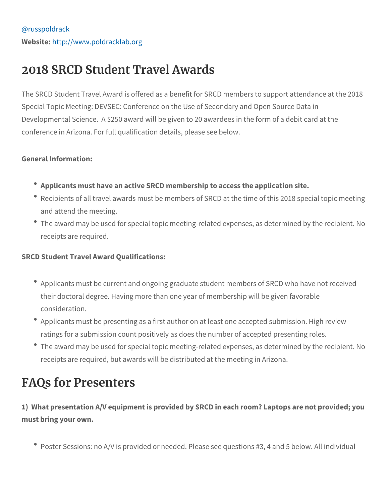# 2018 SRCD Student Travel Awards

The SRCD Student Travel Award is offered as a benefit for SRCD m Special Topic Meeting: DEVSEC: Conference on the Use of Seconda Developmental Science. A \$250 award will be given to 20 awardees conference in Arizona. For full qualification details, please see bel

General Information:

- Applicants must have an active SRCD membership to access the
- Recipients of all travel awards must be members of SRCD at the and attend the meeting.
- \* The award may be used for special topic meeting-related expens receipts are required.

SRCD Student Travel Award Qualifications:

- \* Applicants must be current and ongoing graduate student membe their doctoral degree. Having more than one year of membership consideration.
- Applicants must be presenting as a first author on at least one ratings for a submission count positively as does the number of
- \* The award may be used for special topic meeting-related expens receipts are required, but awards will be distributed at the mee

## FAQs for Presenters

1) What presentation A/V equipment is provided by SRCD in each r must bring your own.

• Poster Sessions: no A/V is provided or needed. Please see ques